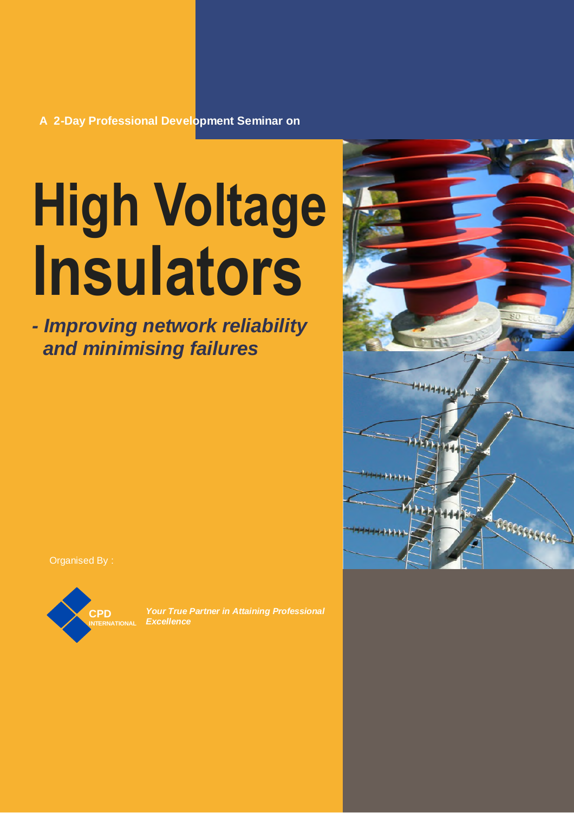# **High Voltage Insulators**

*- Improving network reliability and minimising failures*

Organised By :



*Your True Partner in Attaining Professional Excellence*

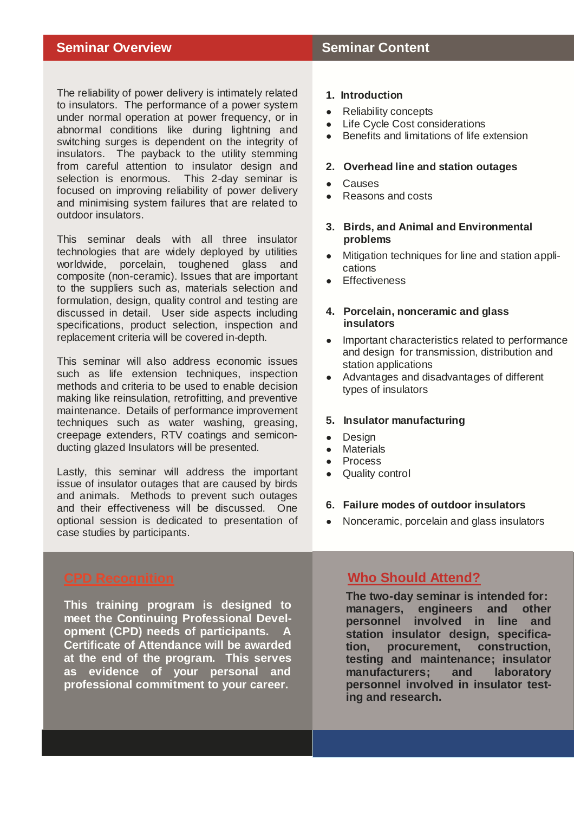**Seminar Overview <b>Seminar Content** 

The reliability of power delivery is intimately related to insulators. The performance of a power system under normal operation at power frequency, or in abnormal conditions like during lightning and switching surges is dependent on the integrity of insulators. The payback to the utility stemming from careful attention to insulator design and selection is enormous. This 2-day seminar is focused on improving reliability of power delivery and minimising system failures that are related to outdoor insulators.

This seminar deals with all three insulator technologies that are widely deployed by utilities worldwide, porcelain, toughened glass and composite (non-ceramic). Issues that are important to the suppliers such as, materials selection and formulation, design, quality control and testing are discussed in detail. User side aspects including specifications, product selection, inspection and replacement criteria will be covered in-depth.

This seminar will also address economic issues such as life extension techniques, inspection methods and criteria to be used to enable decision making like reinsulation, retrofitting, and preventive maintenance. Details of performance improvement techniques such as water washing, greasing, creepage extenders, RTV coatings and semiconducting glazed Insulators will be presented.

Lastly, this seminar will address the important issue of insulator outages that are caused by birds and animals. Methods to prevent such outages and their effectiveness will be discussed. One optional session is dedicated to presentation of case studies by participants.

**This training program is designed to meet the Continuing Professional Development (CPD) needs of participants. A Certificate of Attendance will be awarded at the end of the program. This serves as evidence of your personal and professional commitment to your career.**

#### **DAY 1 1. Introduction**

- **Reliability concepts**
- **U** LII<del>C</del> CyC ● Life Cycle Cost considerations
- Benefits and limitations of life extension

## **2. Overhead line and station outages**

- Causes
- Reasons and costs

#### **3. Birds, and Animal and Environmental**  $\mathsf{m}\mathsf{s}$  and phase switching switching switching switching switching switching switching switching switching switching switching switching switching switching switching switching switching switching switching switchin **problems**

- Mitigation techniques for line and station appli-<br>cations cations
- Effectiveness Current component chopping and overvoltage calcula-

#### 4. Porcelain, nonceramic and glass **insulators**

- Important characteristics related to performance and design for transmission, distribution and and design for a minimized by a
- Advantages and disadvantages of different types of insulators

## **5. Insulator manufacturing**

- Design
- Materials
- Process
- Quality control  $B = \frac{1}{2}$

#### Parallel operation of different circuit break-6. Failure modes of outdoor insulators

Controlled switching • Nonceramic, porcelain and glass insulators

# **Circuit branch specification and testing testing testing in the Should Attend?**

**The two-day seminar is intended for:** managers, engineers and other faults **personnel involved in line and** Future developments **tion, procurement, construction, station insulator design, specificatesting and maintenance; insulator manufacturers; and laboratory personnel involved in insulator testing and research.**